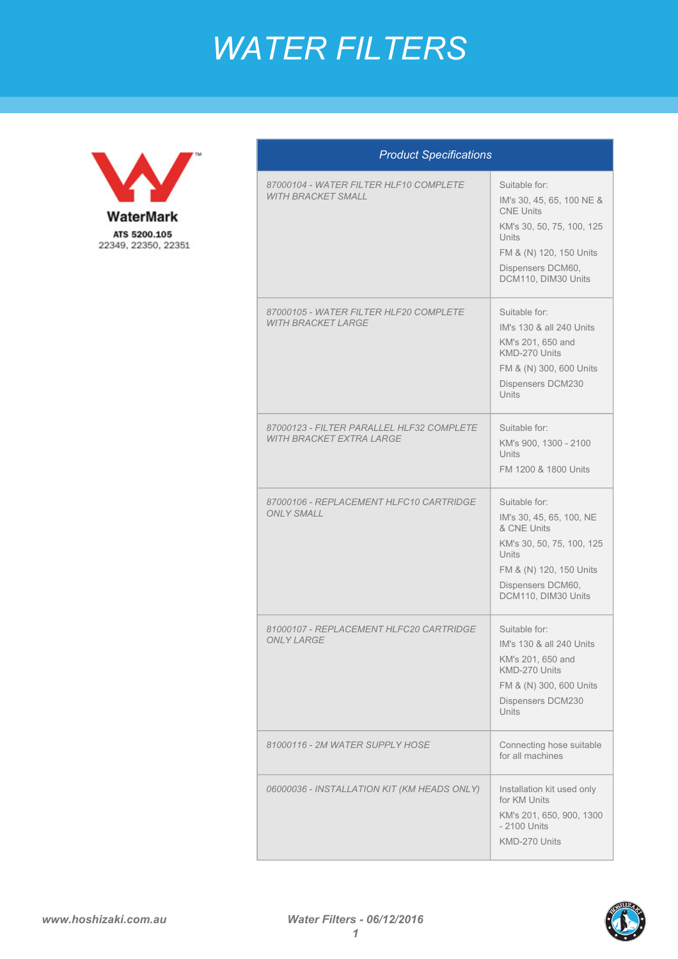## *WATER FILTERS*



| <b>Product Specifications</b>                                                |                                                                                                                                                                             |  |
|------------------------------------------------------------------------------|-----------------------------------------------------------------------------------------------------------------------------------------------------------------------------|--|
| 87000104 - WATER FILTER HLF10 COMPLETE<br><b>WITH BRACKET SMALL</b>          | Suitable for:<br>IM's 30, 45, 65, 100 NE &<br><b>CNE Units</b><br>KM's 30, 50, 75, 100, 125<br>Units<br>FM & (N) 120, 150 Units<br>Dispensers DCM60.<br>DCM110, DIM30 Units |  |
| 87000105 - WATER FILTER HLF20 COMPLETE<br><b>WITH BRACKET LARGE</b>          | Suitable for:<br>IM's 130 & all 240 Units<br>KM's 201, 650 and<br>KMD-270 Units<br>FM & (N) 300, 600 Units<br>Dispensers DCM230<br><b>Units</b>                             |  |
| 87000123 - FILTER PARALLEL HLF32 COMPLETE<br><b>WITH BRACKET EXTRA LARGE</b> | Suitable for:<br>KM's 900, 1300 - 2100<br><b>Units</b><br>FM 1200 & 1800 Units                                                                                              |  |
| 87000106 - REPLACEMENT HLFC10 CARTRIDGE<br><b>ONLY SMALL</b>                 | Suitable for:<br>IM's 30, 45, 65, 100, NE<br>& CNE Units<br>KM's 30, 50, 75, 100, 125<br>Units<br>FM & (N) 120, 150 Units<br>Dispensers DCM60,<br>DCM110, DIM30 Units       |  |
| 81000107 - REPI ACEMENT HI EC20 CARTRIDGE<br><b>ONLY LARGE</b>               | Suitable for:<br>IM's 130 & all 240 Units<br>KM's 201, 650 and<br>KMD-270 Units<br>FM & (N) 300, 600 Units<br>Dispensers DCM230<br><b>Units</b>                             |  |
| 81000116 - 2M WATER SUPPLY HOSE                                              | Connecting hose suitable<br>for all machines                                                                                                                                |  |
| 06000036 - INSTALLATION KIT (KM HEADS ONLY)                                  | Installation kit used only<br>for KM Units<br>KM's 201, 650, 900, 1300<br>- 2100 Units<br>KMD-270 Units                                                                     |  |